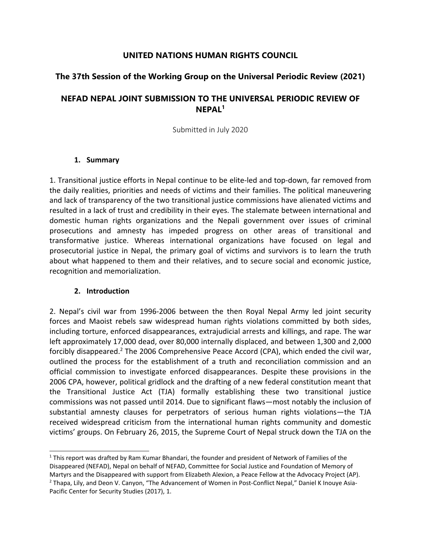## **UNITED NATIONS HUMAN RIGHTS COUNCIL**

## **The 37th Session of the Working Group on the Universal Periodic Review (2021)**

# **NEFAD NEPAL JOINT SUBMISSION TO THE UNIVERSAL PERIODIC REVIEW OF NEPAL<sup>1</sup>**

Submitted in July 2020

### **1. Summary**

1. Transitional justice efforts in Nepal continue to be elite-led and top-down, far removed from the daily realities, priorities and needs of victims and their families. The political maneuvering and lack of transparency of the two transitional justice commissions have alienated victims and resulted in <sup>a</sup> lack of trust and credibility in their eyes. The stalemate between international and domestic human rights organizations and the Nepali government over issues of criminal prosecutions and amnesty has impeded progress on other areas of transitional and transformative justice. Whereas international organizations have focused on legal and prosecutorial justice in Nepal, the primary goal of victims and survivors is to learn the truth about what happened to them and their relatives, and to secure social and economic justice, recognition and memorialization.

### **2. Introduction**

2. Nepal'<sup>s</sup> civil war from 1996-2006 between the then Royal Nepal Army led joint security forces and Maoist rebels saw widespread human rights violations committed by both sides, including torture, enforced disappearances, extrajudicial arrests and killings, and rape. The war left approximately 17,000 dead, over 80,000 internally displaced, and between 1,300 and 2,000 forcibly disappeared.<sup>2</sup> The 2006 Comprehensive Peace Accord (CPA), which ended the civil war, outlined the process for the establishment of <sup>a</sup> truth and reconciliation commission and an official commission to investigate enforced disappearances. Despite these provisions in the 2006 CPA, however, political gridlock and the drafting of <sup>a</sup> new federal constitution meant that the Transitional Justice Act (TJA) formally establishing these two transitional justice commissions was not passed until 2014. Due to significant flaws—most notably the inclusion of substantial amnesty clauses for perpetrators of serious human rights violations—the TJA received widespread criticism from the international human rights community and domestic victims' groups. On February 26, 2015, the Supreme Court of Nepal struck down the TJA on the

<sup>&</sup>lt;sup>1</sup> This report was drafted by Ram Kumar Bhandari, the founder and president of Network of Families of the Disappeared (NEFAD), Nepal on behalf of NEFAD, Committee for Social Justice and Foundation of Memory of Martyrs and the Disappeared with support from Elizabeth Alexion, <sup>a</sup> Peace Fellow at the Advocacy Project (AP). <sup>2</sup> Thapa, Lily, and Deon V. Canyon, "The Advancement of Women in Post-Conflict Nepal," Daniel K Inouye Asia-Pacific Center for Security Studies (2017), 1.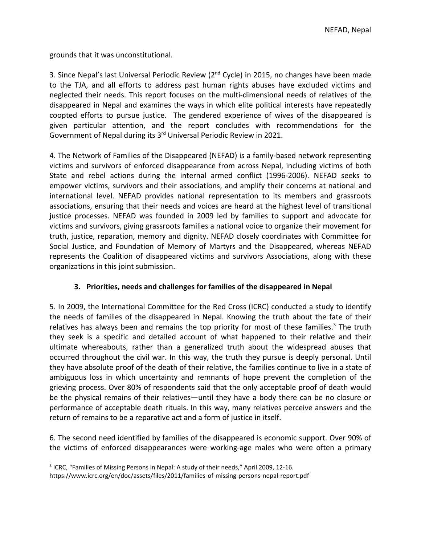grounds that it was unconstitutional.

3. Since Nepal's last Universal Periodic Review (2<sup>nd</sup> Cycle) in 2015, no changes have been made to the TJA, and all efforts to address past human rights abuses have excluded victims and neglected their needs. This report focuses on the multi-dimensional needs of relatives of the disappeared in Nepal and examines the ways in which elite political interests have repeatedly coopted efforts to pursue justice. The gendered experience of wives of the disappeared is given particular attention, and the report concludes with recommendations for the Government of Nepal during its 3<sup>rd</sup> Universal Periodic Review in 2021.

4. The Network of Families of the Disappeared (NEFAD) is <sup>a</sup> family-based network representing victims and survivors of enforced disappearance from across Nepal, including victims of both State and rebel actions during the internal armed conflict (1996-2006). NEFAD seeks to empower victims, survivors and their associations, and amplify their concerns at national and international level. NEFAD provides national representation to its members and grassroots associations, ensuring that their needs and voices are heard at the highest level of transitional justice processes. NEFAD was founded in 2009 led by families to support and advocate for victims and survivors, giving grassroots families <sup>a</sup> national voice to organize their movement for truth, justice, reparation, memory and dignity. NEFAD closely coordinates with Committee for Social Justice, and Foundation of Memory of Martyrs and the Disappeared, whereas NEFAD represents the Coalition of disappeared victims and survivors Associations, along with these organizations in this joint submission.

## **3. Priorities, needs and challenges for families of the disappeared in Nepal**

5. In 2009, the International Committee for the Red Cross (ICRC) conducted <sup>a</sup> study to identify the needs of families of the disappeared in Nepal. Knowing the truth about the fate of their relatives has always been and remains the top priority for most of these families.<sup>3</sup> The truth they seek is <sup>a</sup> specific and detailed account of what happened to their relative and their ultimate whereabouts, rather than <sup>a</sup> generalized truth about the widespread abuses that occurred throughout the civil war. In this way, the truth they pursue is deeply personal. Until they have absolute proof of the death of their relative, the families continue to live in <sup>a</sup> state of ambiguous loss in which uncertainty and remnants of hope prevent the completion of the grieving process. Over 80% of respondents said that the only acceptable proof of death would be the physical remains of their relatives—until they have <sup>a</sup> body there can be no closure or performance of acceptable death rituals. In this way, many relatives perceive answers and the return of remains to be <sup>a</sup> reparative act and <sup>a</sup> form of justice in itself.

6. The second need identified by families of the disappeared is economic support. Over 90% of the victims of enforced disappearances were working-age males who were often <sup>a</sup> primary

<sup>&</sup>lt;sup>3</sup> ICRC, "Families of Missing Persons in Nepal: A study of their needs," April 2009, 12-16.

https://www.icrc.org/en/doc/assets/files/2011/families-of-missing-persons-nepal-report.pdf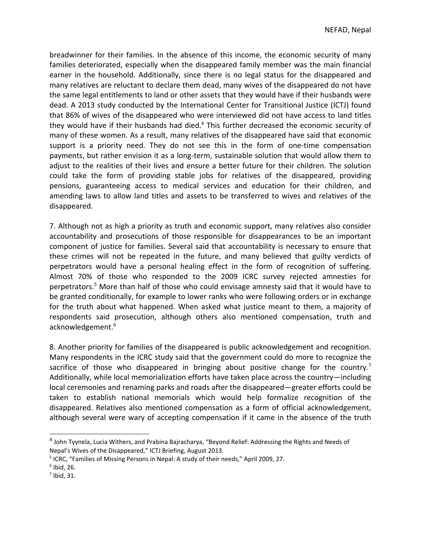breadwinner for their families. In the absence of this income, the economic security of many families deteriorated, especially when the disappeared family member was the main financial earner in the household. Additionally, since there is no legal status for the disappeared and many relatives are reluctant to declare them dead, many wives of the disappeared do not have the same legal entitlements to land or other assets that they would have if their husbands were dead. A 2013 study conducted by the International Center for Transitional Justice (ICTJ) found that 86% of wives of the disappeared who were interviewed did not have access to land titles they would have if their husbands had died.<sup>4</sup> This further decreased the economic security of many of these women. As <sup>a</sup> result, many relatives of the disappeared have said that economic support is <sup>a</sup> priority need. They do not see this in the form of one-time compensation payments, but rather envision it as <sup>a</sup> long-term, sustainable solution that would allow them to adjust to the realities of their lives and ensure <sup>a</sup> better future for their children. The solution could take the form of providing stable jobs for relatives of the disappeared, providing pensions, guaranteeing access to medical services and education for their children, and amending laws to allow land titles and assets to be transferred to wives and relatives of the disappeared.

7. Although not as high <sup>a</sup> priority as truth and economic support, many relatives also consider accountability and prosecutions of those responsible for disappearances to be an important component of justice for families. Several said that accountability is necessary to ensure that these crimes will not be repeated in the future, and many believed that guilty verdicts of perpetrators would have <sup>a</sup> personal healing effect in the form of recognition of suffering. Almost 70% of those who responded to the 2009 ICRC survey rejected amnesties for perpetrators.<sup>5</sup> More than half of those who could envisage amnesty said that it would have to be granted conditionally, for example to lower ranks who were following orders or in exchange for the truth about what happened. When asked what justice meant to them, <sup>a</sup> majority of respondents said prosecution, although others also mentioned compensation, truth and acknowledgement. 6

8. Another priority for families of the disappeared is public acknowledgement and recognition. Many respondents in the ICRC study said that the government could do more to recognize the sacrifice of those who disappeared in bringing about positive change for the country.<sup>7</sup> Additionally, while local memorialization efforts have taken place across the country—including local ceremonies and renaming parks and roads after the disappeared—greater efforts could be taken to establish national memorials which would help formalize recognition of the disappeared. Relatives also mentioned compensation as <sup>a</sup> form of official acknowledgement, although several were wary of accepting compensation if it came in the absence of the truth

<sup>4</sup> John Tyynela, Lucia Withers, and Prabina Bajracharya, "Beyond Relief: Addressing the Rights and Needs of Nepal'<sup>s</sup> Wives of the Disappeared," ICTJ Briefing, August 2013.

<sup>&</sup>lt;sup>5</sup> ICRC, "Families of Missing Persons in Nepal: A study of their needs," April 2009, 27.

 $<sup>6</sup>$  Ibid, 26.</sup>

 $<sup>7</sup>$  Ibid, 31.</sup>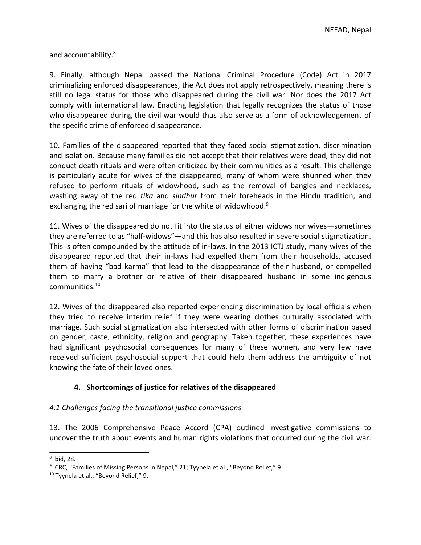and accountability. 8

9. Finally, although Nepal passed the National Criminal Procedure (Code) Act in 2017 criminalizing enforced disappearances, the Act does not apply retrospectively, meaning there is still no legal status for those who disappeared during the civil war. Nor does the 2017 Act comply with international law. Enacting legislation that legally recognizes the status of those who disappeared during the civil war would thus also serve as <sup>a</sup> form of acknowledgement of the specific crime of enforced disappearance.

10. Families of the disappeared reported that they faced social stigmatization, discrimination and isolation. Because many families did not accept that their relatives were dead, they did not conduct death rituals and were often criticized by their communities as <sup>a</sup> result. This challenge is particularly acute for wives of the disappeared, many of whom were shunned when they refused to perform rituals of widowhood, such as the removal of bangles and necklaces, washing away of the red *tika* and *sindhur* from their foreheads in the Hindu tradition, and exchanging the red sari of marriage for the white of widowhood. 9

11. Wives of the disappeared do not fit into the status of either widows nor wives—sometimes they are referred to as "half-widows"—and this has also resulted in severe social stigmatization. This is often compounded by the attitude of in-laws. In the 2013 ICTJ study, many wives of the disappeared reported that their in-laws had expelled them from their households, accused them of having "bad karma" that lead to the disappearance of their husband, or compelled them to marry <sup>a</sup> brother or relative of their disappeared husband in some indigenous communities. 10

12. Wives of the disappeared also reported experiencing discrimination by local officials when they tried to receive interim relief if they were wearing clothes culturally associated with marriage. Such social stigmatization also intersected with other forms of discrimination based on gender, caste, ethnicity, religion and geography. Taken together, these experiences have had significant psychosocial consequences for many of these women, and very few have received sufficient psychosocial support that could help them address the ambiguity of not knowing the fate of their loved ones.

## **4. Shortcomings of justice for relatives of the disappeared**

### *4.1 Challenges facing the transitional justice commissions*

13. The 2006 Comprehensive Peace Accord (CPA) outlined investigative commissions to uncover the truth about events and human rights violations that occurred during the civil war.

<sup>8</sup> Ibid, 28.

<sup>&</sup>lt;sup>9</sup> ICRC, "Families of Missing Persons in Nepal," 21; Tyynela et al., "Beyond Relief," 9.

<sup>&</sup>lt;sup>10</sup> Tyynela et al., "Beyond Relief," 9.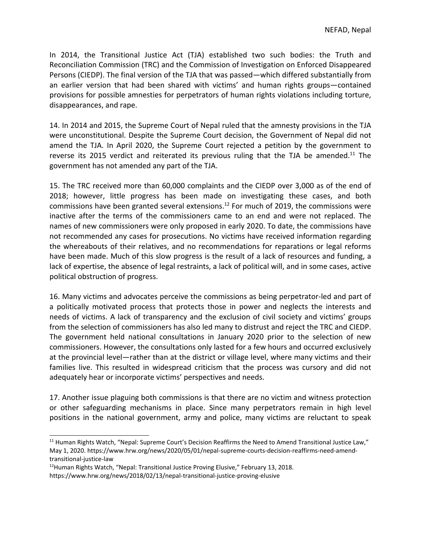In 2014, the Transitional Justice Act (TJA) established two such bodies: the Truth and Reconciliation Commission (TRC) and the Commission of Investigation on Enforced Disappeared Persons (CIEDP). The final version of the TJA that was passed—which differed substantially from an earlier version that had been shared with victims' and human rights groups—contained provisions for possible amnesties for perpetrators of human rights violations including torture, disappearances, and rape.

14. In 2014 and 2015, the Supreme Court of Nepal ruled that the amnesty provisions in the TJA were unconstitutional. Despite the Supreme Court decision, the Government of Nepal did not amend the TJA. In April 2020, the Supreme Court rejected <sup>a</sup> petition by the government to reverse its 2015 verdict and reiterated its previous ruling that the TJA be amended.<sup>11</sup> The government has not amended any part of the TJA.

15. The TRC received more than 60,000 complaints and the CIEDP over 3,000 as of the end of 2018; however, little progress has been made on investigating these cases, and both commissions have been granted several extensions.<sup>12</sup> For much of 2019, the commissions were inactive after the terms of the commissioners came to an end and were not replaced. The names of new commissioners were only proposed in early 2020. To date, the commissions have not recommended any cases for prosecutions. No victims have received information regarding the whereabouts of their relatives, and no recommendations for reparations or legal reforms have been made. Much of this slow progress is the result of <sup>a</sup> lack of resources and funding, <sup>a</sup> lack of expertise, the absence of legal restraints, <sup>a</sup> lack of political will, and in some cases, active political obstruction of progress.

16. Many victims and advocates perceive the commissions as being perpetrator-led and part of <sup>a</sup> politically motivated process that protects those in power and neglects the interests and needs of victims. A lack of transparency and the exclusion of civil society and victims' groups from the selection of commissioners has also led many to distrust and reject the TRC and CIEDP. The government held national consultations in January 2020 prior to the selection of new commissioners. However, the consultations only lasted for <sup>a</sup> few hours and occurred exclusively at the provincial level—rather than at the district or village level, where many victims and their families live. This resulted in widespread criticism that the process was cursory and did not adequately hear or incorporate victims' perspectives and needs.

17. Another issue plaguing both commissions is that there are no victim and witness protection or other safeguarding mechanisms in place. Since many perpetrators remain in high level positions in the national government, army and police, many victims are reluctant to speak

<sup>&</sup>lt;sup>11</sup> Human Rights Watch, "Nepal: Supreme Court's Decision Reaffirms the Need to Amend Transitional Justice Law," May 1, 2020. https://www.hrw.org/news/2020/05/01/nepal-supreme-courts-decision-reaffirms-need-amendtransitional-justice-law

<sup>&</sup>lt;sup>12</sup>Human Rights Watch, "Nepal: Transitional Justice Proving Elusive," February 13, 2018.

https://www.hrw.org/news/2018/02/13/nepal-transitional-justice-proving-elusive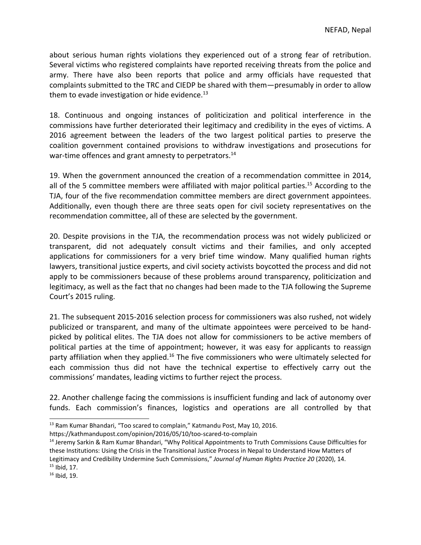about serious human rights violations they experienced out of <sup>a</sup> strong fear of retribution. Several victims who registered complaints have reported receiving threats from the police and army. There have also been reports that police and army officials have requested that complaints submitted to the TRC and CIEDP be shared with them—presumably in order to allow them to evade investigation or hide evidence.<sup>13</sup>

18. Continuous and ongoing instances of politicization and political interference in the commissions have further deteriorated their legitimacy and credibility in the eyes of victims. A 2016 agreement between the leaders of the two largest political parties to preserve the coalition government contained provisions to withdraw investigations and prosecutions for war-time offences and grant amnesty to perpetrators.<sup>14</sup>

19. When the government announced the creation of <sup>a</sup> recommendation committee in 2014, all of the 5 committee members were affiliated with major political parties. 15 According to the TJA, four of the five recommendation committee members are direct government appointees. Additionally, even though there are three seats open for civil society representatives on the recommendation committee, all of these are selected by the government.

20. Despite provisions in the TJA, the recommendation process was not widely publicized or transparent, did not adequately consult victims and their families, and only accepted applications for commissioners for <sup>a</sup> very brief time window. Many qualified human rights lawyers, transitional justice experts, and civil society activists boycotted the process and did not apply to be commissioners because of these problems around transparency, politicization and legitimacy, as well as the fact that no changes had been made to the TJA following the Supreme Court'<sup>s</sup> 2015 ruling.

21. The subsequent 2015-2016 selection process for commissioners was also rushed, not widely publicized or transparent, and many of the ultimate appointees were perceived to be handpicked by political elites. The TJA does not allow for commissioners to be active members of political parties at the time of appointment; however, it was easy for applicants to reassign party affiliation when they applied.<sup>16</sup> The five commissioners who were ultimately selected for each commission thus did not have the technical expertise to effectively carry out the commissions' mandates, leading victims to further reject the process.

22. Another challenge facing the commissions is insufficient funding and lack of autonomy over funds. Each commission'<sup>s</sup> finances, logistics and operations are all controlled by that

<sup>&</sup>lt;sup>13</sup> Ram Kumar Bhandari, "Too scared to complain," Katmandu Post, May 10, 2016.

https://kathmandupost.com/opinion/2016/05/10/too-scared-to-complain

<sup>&</sup>lt;sup>14</sup> Jeremy Sarkin & Ram Kumar Bhandari, "Why Political Appointments to Truth Commissions Cause Difficulties for these Institutions: Using the Crisis in the Transitional Justice Process in Nepal to Understand How Matters of Legitimacy and Credibility Undermine Such Commissions," *Journal of Human Rights Practice 20* (2020), 14. <sup>15</sup> Ibid, 17.

<sup>&</sup>lt;sup>16</sup> Ibid, 19.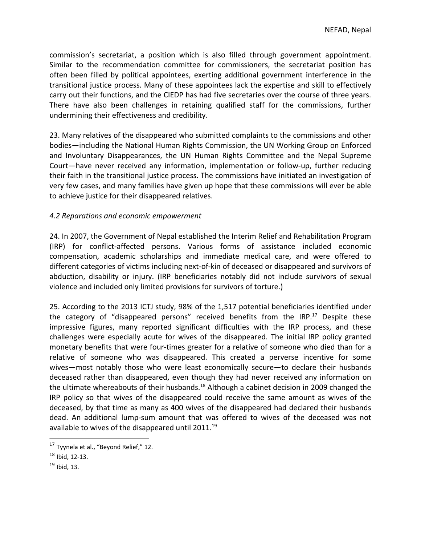commission'<sup>s</sup> secretariat, <sup>a</sup> position which is also filled through government appointment. Similar to the recommendation committee for commissioners, the secretariat position has often been filled by political appointees, exerting additional government interference in the transitional justice process. Many of these appointees lack the expertise and skill to effectively carry out their functions, and the CIEDP has had five secretaries over the course of three years. There have also been challenges in retaining qualified staff for the commissions, further undermining their effectiveness and credibility.

23. Many relatives of the disappeared who submitted complaints to the commissions and other bodies—including the National Human Rights Commission, the UN Working Group on Enforced and Involuntary Disappearances, the UN Human Rights Committee and the Nepal Supreme Court—have never received any information, implementation or follow-up, further reducing their faith in the transitional justice process. The commissions have initiated an investigation of very few cases, and many families have given up hope that these commissions will ever be able to achieve justice for their disappeared relatives.

### *4.2 Reparations and economic empowerment*

24. In 2007, the Government of Nepal established the Interim Relief and Rehabilitation Program (IRP) for conflict-affected persons. Various forms of assistance included economic compensation, academic scholarships and immediate medical care, and were offered to different categories of victims including next-of-kin of deceased or disappeared and survivors of abduction, disability or injury. (IRP beneficiaries notably did not include survivors of sexual violence and included only limited provisions for survivors of torture.)

25. According to the 2013 ICTJ study, 98% of the 1,517 potential beneficiaries identified under the category of "disappeared persons" received benefits from the IRP.<sup>17</sup> Despite these impressive figures, many reported significant difficulties with the IRP process, and these challenges were especially acute for wives of the disappeared. The initial IRP policy granted monetary benefits that were four-times greater for <sup>a</sup> relative of someone who died than for <sup>a</sup> relative of someone who was disappeared. This created <sup>a</sup> perverse incentive for some wives—most notably those who were least economically secure—to declare their husbands deceased rather than disappeared, even though they had never received any information on the ultimate whereabouts of their husbands.<sup>18</sup> Although a cabinet decision in 2009 changed the IRP policy so that wives of the disappeared could receive the same amount as wives of the deceased, by that time as many as 400 wives of the disappeared had declared their husbands dead. An additional lump-sum amount that was offered to wives of the deceased was not available to wives of the disappeared until 2011.<sup>19</sup>

<sup>&</sup>lt;sup>17</sup> Tyynela et al., "Beyond Relief," 12.

 $^{18}$  Ibid, 12-13.

<sup>&</sup>lt;sup>19</sup> Ibid, 13.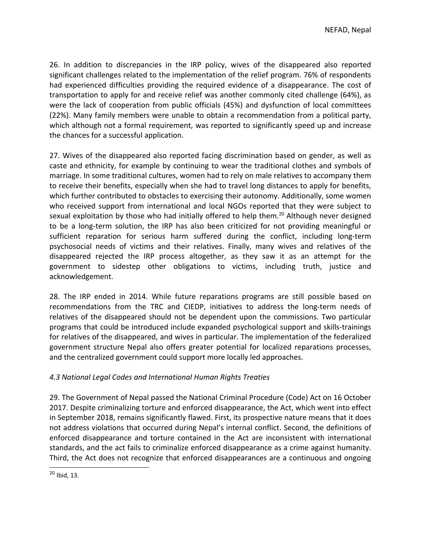26. In addition to discrepancies in the IRP policy, wives of the disappeared also reported significant challenges related to the implementation of the relief program. 76% of respondents had experienced difficulties providing the required evidence of <sup>a</sup> disappearance. The cost of transportation to apply for and receive relief was another commonly cited challenge (64%), as were the lack of cooperation from public officials (45%) and dysfunction of local committees (22%). Many family members were unable to obtain <sup>a</sup> recommendation from <sup>a</sup> political party, which although not <sup>a</sup> formal requirement, was reported to significantly speed up and increase the chances for <sup>a</sup> successful application.

27. Wives of the disappeared also reported facing discrimination based on gender, as well as caste and ethnicity, for example by continuing to wear the traditional clothes and symbols of marriage. In some traditional cultures, women had to rely on male relatives to accompany them to receive their benefits, especially when she had to travel long distances to apply for benefits, which further contributed to obstacles to exercising their autonomy. Additionally, some women who received support from international and local NGOs reported that they were subject to sexual exploitation by those who had initially offered to help them.<sup>20</sup> Although never designed to be <sup>a</sup> long-term solution, the IRP has also been criticized for not providing meaningful or sufficient reparation for serious harm suffered during the conflict, including long-term psychosocial needs of victims and their relatives. Finally, many wives and relatives of the disappeared rejected the IRP process altogether, as they saw it as an attempt for the government to sidestep other obligations to victims, including truth, justice and acknowledgement.

28. The IRP ended in 2014. While future reparations programs are still possible based on recommendations from the TRC and CIEDP, initiatives to address the long-term needs of relatives of the disappeared should not be dependent upon the commissions. Two particular programs that could be introduced include expanded psychological support and skills-trainings for relatives of the disappeared, and wives in particular. The implementation of the federalized government structure Nepal also offers greater potential for localized reparations processes, and the centralized government could support more locally led approaches.

## *4.3 National Legal Codes and International Human Rights Treaties*

29. The Government of Nepal passed the National Criminal Procedure (Code) Act on 16 October 2017. Despite criminalizing torture and enforced disappearance, the Act, which went into effect in September 2018, remains significantly flawed. First, its prospective nature means that it does not address violations that occurred during Nepal'<sup>s</sup> internal conflict. Second, the definitions of enforced disappearance and torture contained in the Act are inconsistent with international standards, and the act fails to criminalize enforced disappearance as <sup>a</sup> crime against humanity. Third, the Act does not recognize that enforced disappearances are <sup>a</sup> continuous and ongoing

<sup>&</sup>lt;sup>20</sup> Ibid, 13.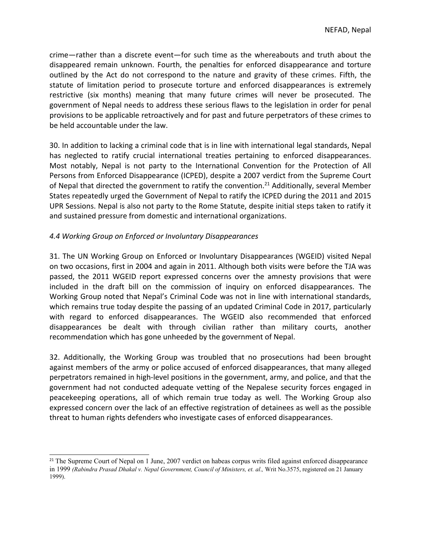crime—rather than <sup>a</sup> discrete event—for such time as the whereabouts and truth about the disappeared remain unknown. Fourth, the penalties for enforced disappearance and torture outlined by the Act do not correspond to the nature and gravity of these crimes. Fifth, the statute of limitation period to prosecute torture and enforced disappearances is extremely restrictive (six months) meaning that many future crimes will never be prosecuted. The government of Nepal needs to address these serious flaws to the legislation in order for penal provisions to be applicable retroactively and for past and future perpetrators of these crimes to be held accountable under the law.

30. In addition to lacking <sup>a</sup> criminal code that is in line with international legal standards, Nepal has neglected to ratify crucial international treaties pertaining to enforced disappearances. Most notably, Nepal is not party to the International Convention for the Protection of All Persons from Enforced Disappearance (ICPED), despite <sup>a</sup> 2007 verdict from the Supreme Court of Nepal that directed the government to ratify the convention.<sup>21</sup> Additionally, several Member States repeatedly urged the Government of Nepal to ratify the ICPED during the 2011 and 2015 UPR Sessions. Nepal is also not party to the Rome Statute, despite initial steps taken to ratify it and sustained pressure from domestic and international organizations.

### *4.4 Working Group on Enforced or Involuntary Disappearances*

31. The UN Working Group on Enforced or Involuntary Disappearances (WGEID) visited Nepal on two occasions, first in 2004 and again in 2011. Although both visits were before the TJA was passed, the 2011 WGEID report expressed concerns over the amnesty provisions that were included in the draft bill on the commission of inquiry on enforced disappearances. The Working Group noted that Nepal'<sup>s</sup> Criminal Code was not in line with international standards, which remains true today despite the passing of an updated Criminal Code in 2017, particularly with regard to enforced disappearances. The WGEID also recommended that enforced disappearances be dealt with through civilian rather than military courts, another recommendation which has gone unheeded by the government of Nepal.

32. Additionally, the Working Group was troubled that no prosecutions had been brought against members of the army or police accused of enforced disappearances, that many alleged perpetrators remained in high-level positions in the government, army, and police, and that the government had not conducted adequate vetting of the Nepalese security forces engaged in peacekeeping operations, all of which remain true today as well. The Working Group also expressed concern over the lack of an effective registration of detainees as well as the possible threat to human rights defenders who investigate cases of enforced disappearances.

<sup>&</sup>lt;sup>21</sup> The Supreme Court of Nepal on 1 June, 2007 verdict on habeas corpus writs filed against enforced disappearance in 1999 *(Rabindra Prasad Dhakal v. Nepal Government, Council of Ministers, et. al*.*,* Writ No.3575, registered on <sup>21</sup> January 1999).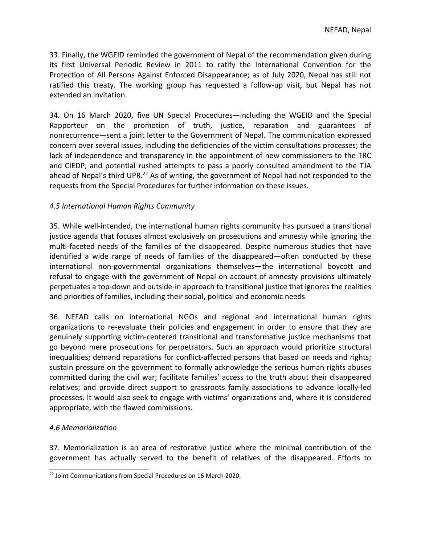33. Finally, the WGEID reminded the government of Nepal of the recommendation given during its first Universal Periodic Review in 2011 to ratify the International Convention for the Protection of All Persons Against Enforced Disappearance; as of July 2020, Nepal has still not ratified this treaty. The working group has requested <sup>a</sup> follow-up visit, but Nepal has not extended an invitation.

34. On 16 March 2020, five UN Special Procedures—including the WGEID and the Special Rapporteur on the promotion of truth, justice, reparation and guarantees of nonrecurrence—sent <sup>a</sup> joint letter to the Government of Nepal. The communication expressed concern over several issues, including the deficiencies of the victim consultations processes; the lack of independence and transparency in the appointment of new commissioners to the TRC and CIEDP; and potential rushed attempts to pass <sup>a</sup> poorly consulted amendment to the TJA ahead of Nepal's third UPR.<sup>22</sup> As of writing, the government of Nepal had not responded to the requests from the Special Procedures for further information on these issues.

### *4.5 International Human Rights Community*

35. While well-intended, the international human rights community has pursued <sup>a</sup> transitional justice agenda that focuses almost exclusively on prosecutions and amnesty while ignoring the multi-faceted needs of the families of the disappeared. Despite numerous studies that have identified <sup>a</sup> wide range of needs of families of the disappeared—often conducted by these international non-governmental organizations themselves—the international boycott and refusal to engage with the government of Nepal on account of amnesty provisions ultimately perpetuates <sup>a</sup> top-down and outside-in approach to transitional justice that ignores the realities and priorities of families, including their social, political and economic needs.

36. NEFAD calls on international NGOs and regional and international human rights organizations to re-evaluate their policies and engagement in order to ensure that they are genuinely supporting victim-centered transitional and transformative justice mechanisms that go beyond mere prosecutions for perpetrators. Such an approach would prioritize structural inequalities; demand reparations for conflict-affected persons that based on needs and rights; sustain pressure on the government to formally acknowledge the serious human rights abuses committed during the civil war; facilitate families' access to the truth about their disappeared relatives; and provide direct support to grassroots family associations to advance locally-led processes. It would also seek to engage with victims' organizations and, where it is considered appropriate, with the flawed commissions.

### *4.6 Memorialization*

37. Memorialization is an area of restorative justice where the minimal contribution of the government has actually served to the benefit of relatives of the disappeared. Efforts to

<sup>&</sup>lt;sup>22</sup> Joint Communications from Special Procedures on 16 March 2020.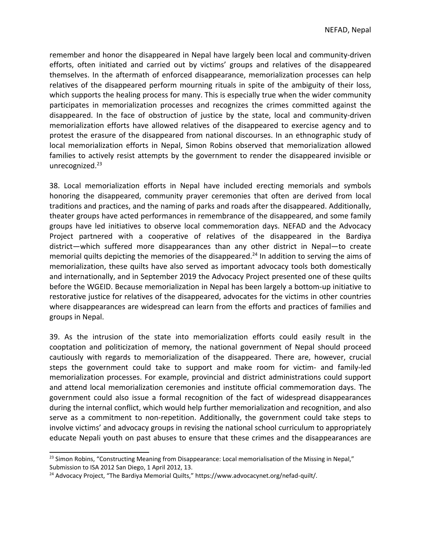remember and honor the disappeared in Nepal have largely been local and community-driven efforts, often initiated and carried out by victims' groups and relatives of the disappeared themselves. In the aftermath of enforced disappearance, memorialization processes can help relatives of the disappeared perform mourning rituals in spite of the ambiguity of their loss, which supports the healing process for many. This is especially true when the wider community participates in memorialization processes and recognizes the crimes committed against the disappeared. In the face of obstruction of justice by the state, local and community-driven memorialization efforts have allowed relatives of the disappeared to exercise agency and to protest the erasure of the disappeared from national discourses. In an ethnographic study of local memorialization efforts in Nepal, Simon Robins observed that memorialization allowed families to actively resist attempts by the government to render the disappeared invisible or unrecognized.<sup>23</sup>

38. Local memorialization efforts in Nepal have included erecting memorials and symbols honoring the disappeared, community prayer ceremonies that often are derived from local traditions and practices, and the naming of parks and roads after the disappeared. Additionally, theater groups have acted performances in remembrance of the disappeared, and some family groups have led initiatives to observe local commemoration days. NEFAD and the Advocacy Project partnered with <sup>a</sup> cooperative of relatives of the disappeared in the Bardiya district—which suffered more disappearances than any other district in Nepal—to create memorial quilts depicting the memories of the disappeared.<sup>24</sup> In addition to serving the aims of memorialization, these quilts have also served as important advocacy tools both domestically and internationally, and in September 2019 the Advocacy Project presented one of these quilts before the WGEID. Because memorialization in Nepal has been largely <sup>a</sup> bottom-up initiative to restorative justice for relatives of the disappeared, advocates for the victims in other countries where disappearances are widespread can learn from the efforts and practices of families and groups in Nepal.

39. As the intrusion of the state into memorialization efforts could easily result in the cooptation and politicization of memory, the national government of Nepal should proceed cautiously with regards to memorialization of the disappeared. There are, however, crucial steps the government could take to support and make room for victim- and family-led memorialization processes. For example, provincial and district administrations could support and attend local memorialization ceremonies and institute official commemoration days. The government could also issue <sup>a</sup> formal recognition of the fact of widespread disappearances during the internal conflict, which would help further memorialization and recognition, and also serve as <sup>a</sup> commitment to non-repetition. Additionally, the government could take steps to involve victims' and advocacy groups in revising the national school curriculum to appropriately educate Nepali youth on past abuses to ensure that these crimes and the disappearances are

<sup>&</sup>lt;sup>23</sup> Simon Robins, "Constructing Meaning from Disappearance: Local memorialisation of the Missing in Nepal," Submission to ISA 2012 San Diego, 1 April 2012, 13.

<sup>&</sup>lt;sup>24</sup> Advocacy Project, "The Bardiya Memorial Quilts," https://www.advocacynet.org/nefad-quilt/.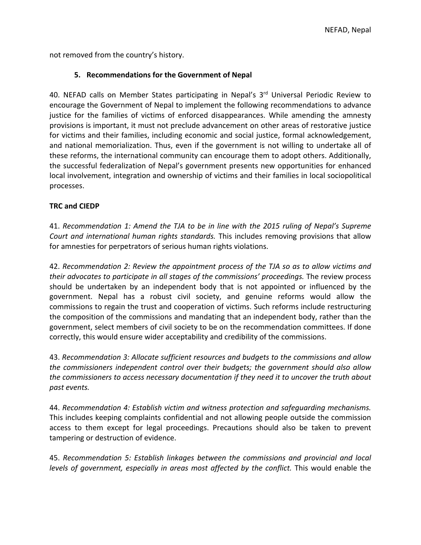not removed from the country'<sup>s</sup> history.

### **5. Recommendations for the Government of Nepal**

40. NEFAD calls on Member States participating in Nepal's 3<sup>rd</sup> Universal Periodic Review to encourage the Government of Nepal to implement the following recommendations to advance justice for the families of victims of enforced disappearances. While amending the amnesty provisions is important, it must not preclude advancement on other areas of restorative justice for victims and their families, including economic and social justice, formal acknowledgement, and national memorialization. Thus, even if the government is not willing to undertake all of these reforms, the international community can encourage them to adopt others. Additionally, the successful federalization of Nepal'<sup>s</sup> government presents new opportunities for enhanced local involvement, integration and ownership of victims and their families in local sociopolitical processes.

### **TRC and CIEDP**

41. *Recommendation 1: Amend the TJA to be in line with the 2015 ruling of Nepal'<sup>s</sup> Supreme Court and international human rights standards.* This includes removing provisions that allow for amnesties for perpetrators of serious human rights violations.

42. *Recommendation 2: Review the appointment process of the TJA so as to allow victims and their advocates to participate in all stages of the commissions' proceedings.* The review process should be undertaken by an independent body that is not appointed or influenced by the government. Nepal has <sup>a</sup> robust civil society, and genuine reforms would allow the commissions to regain the trust and cooperation of victims. Such reforms include restructuring the composition of the commissions and mandating that an independent body, rather than the government, select members of civil society to be on the recommendation committees. If done correctly, this would ensure wider acceptability and credibility of the commissions.

43. *Recommendation 3: Allocate sufficient resources and budgets to the commissions and allow the commissioners independent control over their budgets; the government should also allow the commissioners to access necessary documentation if they need it to uncover the truth about past events.*

44. *Recommendation 4: Establish victim and witness protection and safeguarding mechanisms.* This includes keeping complaints confidential and not allowing people outside the commission access to them except for legal proceedings. Precautions should also be taken to prevent tampering or destruction of evidence.

45. *Recommendation 5: Establish linkages between the commissions and provincial and local levels of government, especially in areas most affected by the conflict.* This would enable the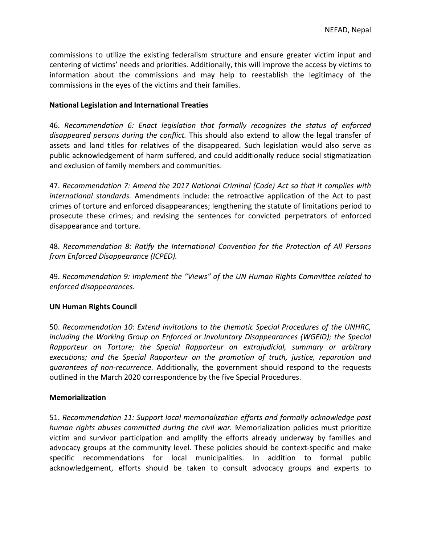commissions to utilize the existing federalism structure and ensure greater victim input and centering of victims' needs and priorities. Additionally, this will improve the access by victims to information about the commissions and may help to reestablish the legitimacy of the commissions in the eyes of the victims and their families.

#### **National Legislation and International Treaties**

46. *Recommendation 6: Enact legislation that formally recognizes the status of enforced disappeared persons during the conflict.* This should also extend to allow the legal transfer of assets and land titles for relatives of the disappeared. Such legislation would also serve as public acknowledgement of harm suffered, and could additionally reduce social stigmatization and exclusion of family members and communities.

47. *Recommendation 7: Amend the 2017 National Criminal (Code) Act so that it complies with international standards.* Amendments include: the retroactive application of the Act to past crimes of torture and enforced disappearances; lengthening the statute of limitations period to prosecute these crimes; and revising the sentences for convicted perpetrators of enforced disappearance and torture.

48. *Recommendation 8: Ratify the International Convention for the Protection of All Persons from Enforced Disappearance (ICPED).*

49. *Recommendation 9: Implement the "Views" of the UN Human Rights Committee related to enforced disappearances.*

### **UN Human Rights Council**

50. *Recommendation 10: Extend invitations to the thematic Special Procedures of the UNHRC, including the Working Group on Enforced or Involuntary Disappearances (WGEID); the Special Rapporteur on Torture; the Special Rapporteur on extrajudicial, summary or arbitrary executions; and the Special Rapporteur on the promotion of truth, justice, reparation and guarantees of non-recurrence.* Additionally, the government should respond to the requests outlined in the March 2020 correspondence by the five Special Procedures.

### **Memorialization**

51. *Recommendation 11: Support local memorialization efforts and formally acknowledge past human rights abuses committed during the civil war.* Memorialization policies must prioritize victim and survivor participation and amplify the efforts already underway by families and advocacy groups at the community level. These policies should be context-specific and make specific recommendations for local municipalities. In addition to formal public acknowledgement, efforts should be taken to consult advocacy groups and experts to